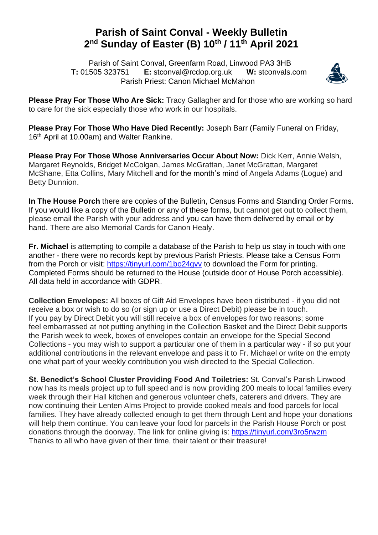## **Parish of Saint Conval - Weekly Bulletin 2 nd Sunday of Easter (B) 10th / 11th April 2021**

 Parish of Saint Conval, Greenfarm Road, Linwood PA3 3HB **T:** 01505 323751 **E:** [stconval@rcdop.org.uk](mailto:stconval@rcdop.org.uk) **W:** stconvals.com Parish Priest: Canon Michael McMahon



**Please Pray For Those Who Are Sick:** Tracy Gallagher and for those who are working so hard to care for the sick especially those who work in our hospitals.

**Please Pray For Those Who Have Died Recently:** Joseph Barr (Family Funeral on Friday, 16<sup>th</sup> April at 10.00am) and Walter Rankine.

**Please Pray For Those Whose Anniversaries Occur About Now:** Dick Kerr, Annie Welsh, Margaret Reynolds, Bridget McColgan, James McGrattan, Janet McGrattan, Margaret McShane, Etta Collins, Mary Mitchell and for the month's mind of Angela Adams (Logue) and Betty Dunnion.

**In The House Porch** there are copies of the Bulletin, Census Forms and Standing Order Forms. If you would like a copy of the Bulletin or any of these forms, but cannot get out to collect them, please email the Parish with your address and you can have them delivered by email or by hand. There are also Memorial Cards for Canon Healy.

**Fr. Michael** is attempting to compile a database of the Parish to help us stay in touch with one another - there were no records kept by previous Parish Priests. Please take a Census Form from the Porch or visit:<https://tinyurl.com/1bo24gvv> to download the Form for printing. Completed Forms should be returned to the House (outside door of House Porch accessible). All data held in accordance with GDPR.

**Collection Envelopes:** All boxes of Gift Aid Envelopes have been distributed - if you did not receive a box or wish to do so (or sign up or use a Direct Debit) please be in touch. If you pay by Direct Debit you will still receive a box of envelopes for two reasons; some feel embarrassed at not putting anything in the Collection Basket and the Direct Debit supports the Parish week to week, boxes of envelopes contain an envelope for the Special Second Collections - you may wish to support a particular one of them in a particular way - if so put your additional contributions in the relevant envelope and pass it to Fr. Michael or write on the empty one what part of your weekly contribution you wish directed to the Special Collection.

**St. Benedict's School Cluster Providing Food And Toiletries:** St. Conval's Parish Linwood now has its meals project up to full speed and is now providing 200 meals to local families every week through their Hall kitchen and generous volunteer chefs, caterers and drivers. They are now continuing their Lenten Alms Project to provide cooked meals and food parcels for local families. They have already collected enough to get them through Lent and hope your donations will help them continue. You can leave your food for parcels in the Parish House Porch or post donations through the doorway. The link for online giving is:<https://tinyurl.com/3ro5rwzm> Thanks to all who have given of their time, their talent or their treasure!